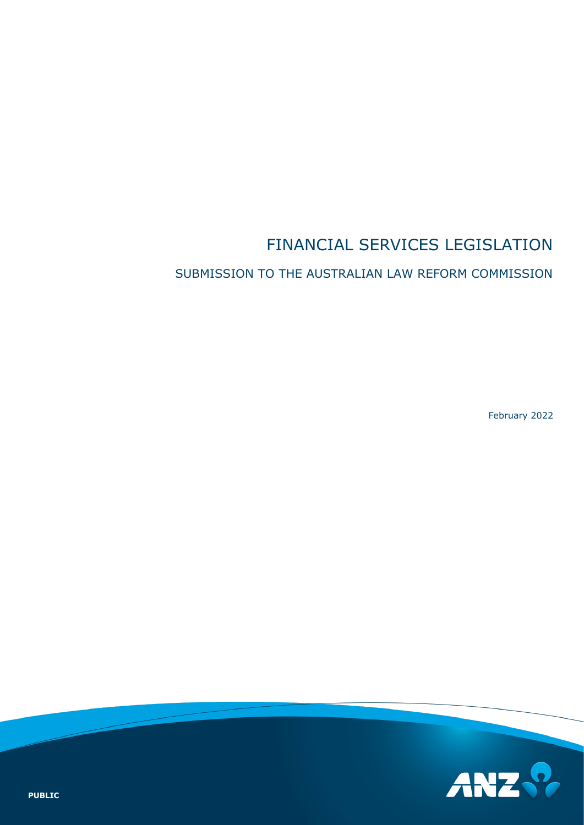# FINANCIAL SERVICES LEGISLATION

#### SUBMISSION TO THE AUSTRALIAN LAW REFORM COMMISSION

February 2022

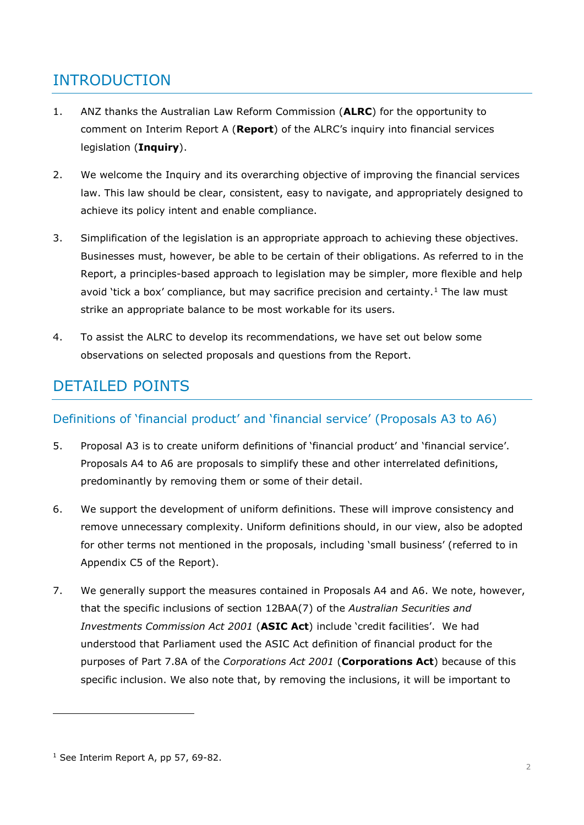### INTRODUCTION

- 1. ANZ thanks the Australian Law Reform Commission (**ALRC**) for the opportunity to comment on Interim Report A (**Report**) of the ALRC's inquiry into financial services legislation (**Inquiry**).
- 2. We welcome the Inquiry and its overarching objective of improving the financial services law. This law should be clear, consistent, easy to navigate, and appropriately designed to achieve its policy intent and enable compliance.
- 3. Simplification of the legislation is an appropriate approach to achieving these objectives. Businesses must, however, be able to be certain of their obligations. As referred to in the Report, a principles-based approach to legislation may be simpler, more flexible and help avoid 'tick a box' compliance, but may sacrifice precision and certainty.<sup>[1](#page-1-0)</sup> The law must strike an appropriate balance to be most workable for its users.
- 4. To assist the ALRC to develop its recommendations, we have set out below some observations on selected proposals and questions from the Report.

## DETAILED POINTS

#### Definitions of 'financial product' and 'financial service' (Proposals A3 to A6)

- 5. Proposal A3 is to create uniform definitions of 'financial product' and 'financial service'. Proposals A4 to A6 are proposals to simplify these and other interrelated definitions, predominantly by removing them or some of their detail.
- 6. We support the development of uniform definitions. These will improve consistency and remove unnecessary complexity. Uniform definitions should, in our view, also be adopted for other terms not mentioned in the proposals, including 'small business' (referred to in Appendix C5 of the Report).
- 7. We generally support the measures contained in Proposals A4 and A6. We note, however, that the specific inclusions of section 12BAA(7) of the *Australian Securities and Investments Commission Act 2001* (**ASIC Act**) include 'credit facilities'. We had understood that Parliament used the ASIC Act definition of financial product for the purposes of Part 7.8A of the *Corporations Act 2001* (**Corporations Act**) because of this specific inclusion. We also note that, by removing the inclusions, it will be important to

i,

<span id="page-1-0"></span> $1$  See Interim Report A, pp 57, 69-82.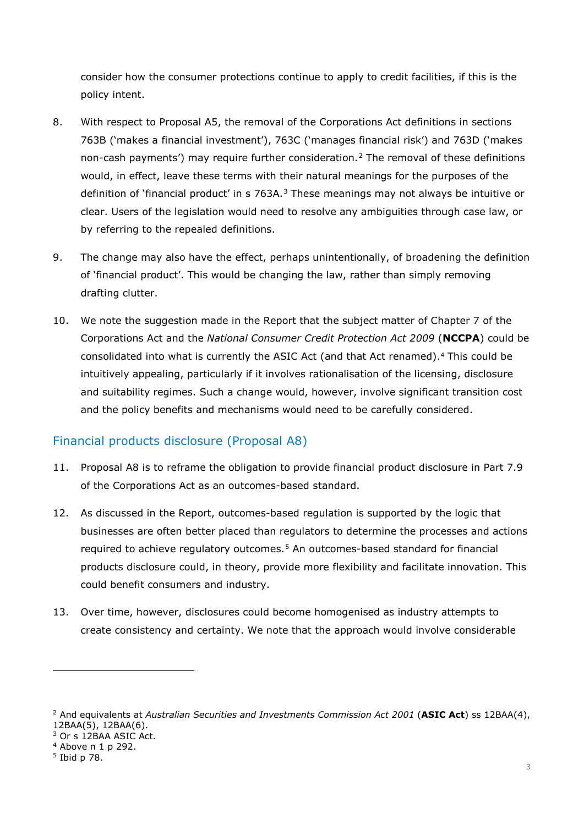consider how the consumer protections continue to apply to credit facilities, if this is the policy intent.

- 8. With respect to Proposal A5, the removal of the Corporations Act definitions in sections 763B ('makes a financial investment'), 763C ('manages financial risk') and 763D ('makes non-cash payments') may require further consideration.[2](#page-2-0) The removal of these definitions would, in effect, leave these terms with their natural meanings for the purposes of the definition of 'financial product' in s 76[3](#page-2-1)A. $3$  These meanings may not always be intuitive or clear. Users of the legislation would need to resolve any ambiguities through case law, or by referring to the repealed definitions.
- 9. The change may also have the effect, perhaps unintentionally, of broadening the definition of 'financial product'. This would be changing the law, rather than simply removing drafting clutter.
- 10. We note the suggestion made in the Report that the subject matter of Chapter 7 of the Corporations Act and the *National Consumer Credit Protection Act 2009* (**NCCPA**) could be consolidated into what is currently the ASIC Act (and that Act renamed).[4](#page-2-2) This could be intuitively appealing, particularly if it involves rationalisation of the licensing, disclosure and suitability regimes. Such a change would, however, involve significant transition cost and the policy benefits and mechanisms would need to be carefully considered.

#### Financial products disclosure (Proposal A8)

- 11. Proposal A8 is to reframe the obligation to provide financial product disclosure in Part 7.9 of the Corporations Act as an outcomes-based standard.
- 12. As discussed in the Report, outcomes-based regulation is supported by the logic that businesses are often better placed than regulators to determine the processes and actions required to achieve regulatory outcomes.[5](#page-2-3) An outcomes-based standard for financial products disclosure could, in theory, provide more flexibility and facilitate innovation. This could benefit consumers and industry.
- 13. Over time, however, disclosures could become homogenised as industry attempts to create consistency and certainty. We note that the approach would involve considerable

<span id="page-2-1"></span><sup>3</sup> Or s 12BAA ASIC Act.

-

<span id="page-2-0"></span><sup>2</sup> And equivalents at *Australian Securities and Investments Commission Act 2001* (**ASIC Act**) ss 12BAA(4), 12BAA(5), 12BAA(6).

<span id="page-2-2"></span><sup>4</sup> Above n 1 p 292.

<span id="page-2-3"></span><sup>5</sup> Ibid p 78.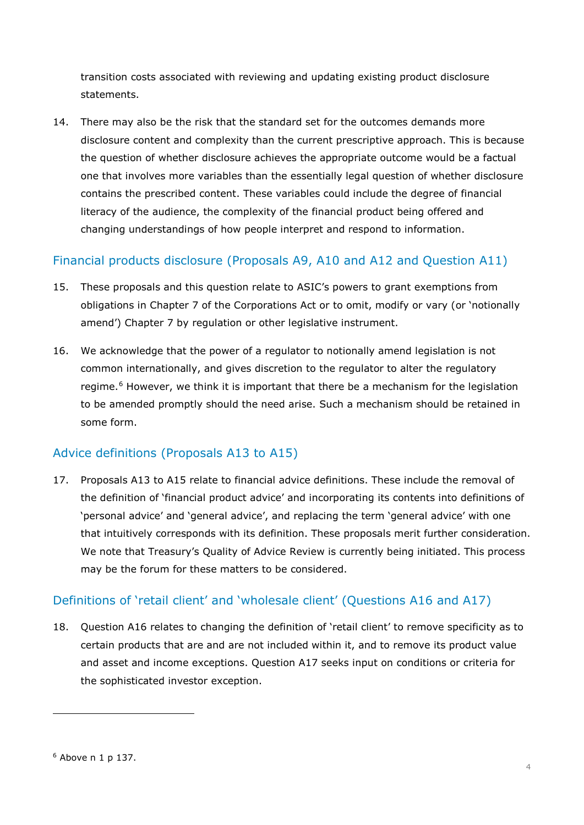transition costs associated with reviewing and updating existing product disclosure statements.

14. There may also be the risk that the standard set for the outcomes demands more disclosure content and complexity than the current prescriptive approach. This is because the question of whether disclosure achieves the appropriate outcome would be a factual one that involves more variables than the essentially legal question of whether disclosure contains the prescribed content. These variables could include the degree of financial literacy of the audience, the complexity of the financial product being offered and changing understandings of how people interpret and respond to information.

#### Financial products disclosure (Proposals A9, A10 and A12 and Question A11)

- 15. These proposals and this question relate to ASIC's powers to grant exemptions from obligations in Chapter 7 of the Corporations Act or to omit, modify or vary (or 'notionally amend') Chapter 7 by regulation or other legislative instrument.
- 16. We acknowledge that the power of a regulator to notionally amend legislation is not common internationally, and gives discretion to the regulator to alter the regulatory regime.<sup>[6](#page-3-0)</sup> However, we think it is important that there be a mechanism for the legislation to be amended promptly should the need arise. Such a mechanism should be retained in some form.

#### Advice definitions (Proposals A13 to A15)

17. Proposals A13 to A15 relate to financial advice definitions. These include the removal of the definition of 'financial product advice' and incorporating its contents into definitions of 'personal advice' and 'general advice', and replacing the term 'general advice' with one that intuitively corresponds with its definition. These proposals merit further consideration. We note that Treasury's Quality of Advice Review is currently being initiated. This process may be the forum for these matters to be considered.

#### Definitions of 'retail client' and 'wholesale client' (Questions A16 and A17)

18. Question A16 relates to changing the definition of 'retail client' to remove specificity as to certain products that are and are not included within it, and to remove its product value and asset and income exceptions. Question A17 seeks input on conditions or criteria for the sophisticated investor exception.

<span id="page-3-0"></span>i,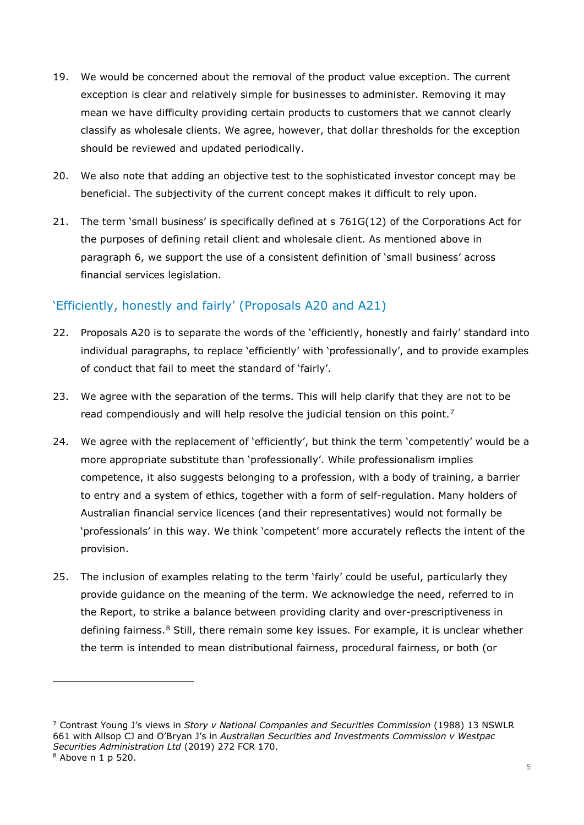- 19. We would be concerned about the removal of the product value exception. The current exception is clear and relatively simple for businesses to administer. Removing it may mean we have difficulty providing certain products to customers that we cannot clearly classify as wholesale clients. We agree, however, that dollar thresholds for the exception should be reviewed and updated periodically.
- 20. We also note that adding an objective test to the sophisticated investor concept may be beneficial. The subjectivity of the current concept makes it difficult to rely upon.
- 21. The term 'small business' is specifically defined at s 761G(12) of the Corporations Act for the purposes of defining retail client and wholesale client. As mentioned above in paragraph 6, we support the use of a consistent definition of 'small business' across financial services legislation.

#### 'Efficiently, honestly and fairly' (Proposals A20 and A21)

- 22. Proposals A20 is to separate the words of the 'efficiently, honestly and fairly' standard into individual paragraphs, to replace 'efficiently' with 'professionally', and to provide examples of conduct that fail to meet the standard of 'fairly'.
- 23. We agree with the separation of the terms. This will help clarify that they are not to be read compendiously and will help resolve the judicial tension on this point.<sup>[7](#page-4-0)</sup>
- 24. We agree with the replacement of 'efficiently', but think the term 'competently' would be a more appropriate substitute than 'professionally'. While professionalism implies competence, it also suggests belonging to a profession, with a body of training, a barrier to entry and a system of ethics, together with a form of self-regulation. Many holders of Australian financial service licences (and their representatives) would not formally be 'professionals' in this way. We think 'competent' more accurately reflects the intent of the provision.
- 25. The inclusion of examples relating to the term 'fairly' could be useful, particularly they provide guidance on the meaning of the term. We acknowledge the need, referred to in the Report, to strike a balance between providing clarity and over-prescriptiveness in defining fairness.<sup>[8](#page-4-1)</sup> Still, there remain some key issues. For example, it is unclear whether the term is intended to mean distributional fairness, procedural fairness, or both (or

-

<span id="page-4-0"></span><sup>7</sup> Contrast Young J's views in *Story v National Companies and Securities Commission* (1988) 13 NSWLR 661 with Allsop CJ and O'Bryan J's in *Australian Securities and Investments Commission v Westpac Securities Administration Ltd* (2019) 272 FCR 170.

<span id="page-4-1"></span><sup>8</sup> Above n 1 p 520.